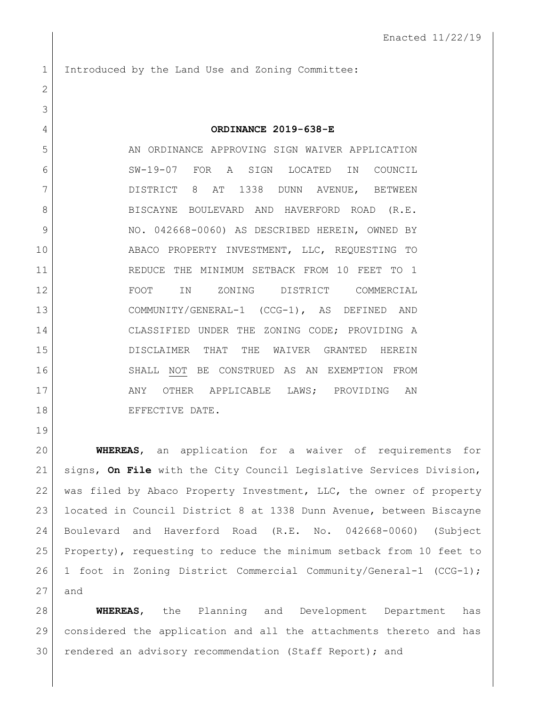Introduced by the Land Use and Zoning Committee: **ORDINANCE 2019-638-E** 5 AN ORDINANCE APPROVING SIGN WAIVER APPLICATION SW-19-07 FOR A SIGN LOCATED IN COUNCIL DISTRICT 8 AT 1338 DUNN AVENUE, BETWEEN 8 BISCAYNE BOULEVARD AND HAVERFORD ROAD (R.E. 9 | NO. 042668-0060) AS DESCRIBED HEREIN, OWNED BY ABACO PROPERTY INVESTMENT, LLC, REQUESTING TO REDUCE THE MINIMUM SETBACK FROM 10 FEET TO 1 FOOT IN ZONING DISTRICT COMMERCIAL COMMUNITY/GENERAL-1 (CCG-1), AS DEFINED AND CLASSIFIED UNDER THE ZONING CODE; PROVIDING A DISCLAIMER THAT THE WAIVER GRANTED HEREIN SHALL NOT BE CONSTRUED AS AN EXEMPTION FROM ANY OTHER APPLICABLE LAWS; PROVIDING AN

18 EFFECTIVE DATE.

 **WHEREAS**, an application for a waiver of requirements for signs, **On File** with the City Council Legislative Services Division, was filed by Abaco Property Investment, LLC, the owner of property located in Council District 8 at 1338 Dunn Avenue, between Biscayne Boulevard and Haverford Road (R.E. No. 042668-0060) (Subject Property), requesting to reduce the minimum setback from 10 feet to 1 foot in Zoning District Commercial Community/General-1 (CCG-1); and

 **WHEREAS**, the Planning and Development Department has considered the application and all the attachments thereto and has rendered an advisory recommendation (Staff Report); and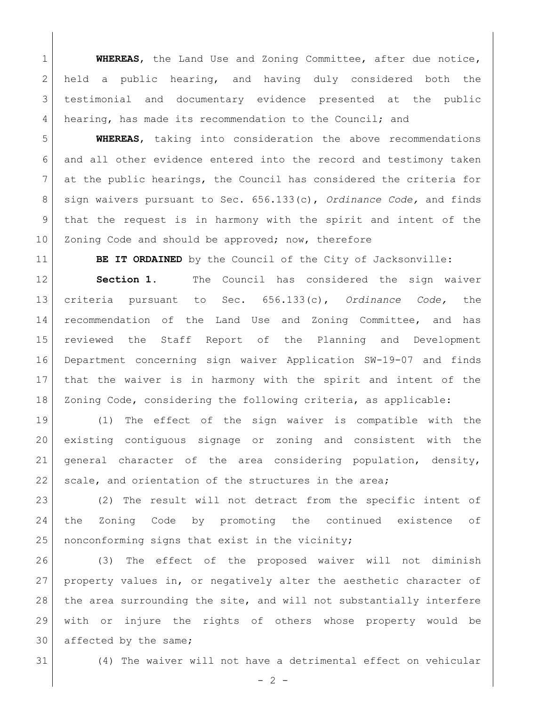**WHEREAS**, the Land Use and Zoning Committee, after due notice, 2 held a public hearing, and having duly considered both the testimonial and documentary evidence presented at the public hearing, has made its recommendation to the Council; and

 **WHEREAS**, taking into consideration the above recommendations 6 and all other evidence entered into the record and testimony taken at the public hearings, the Council has considered the criteria for sign waivers pursuant to Sec. 656.133(c), *Ordinance Code,* and finds that the request is in harmony with the spirit and intent of the 10 Zoning Code and should be approved; now, therefore

**BE IT ORDAINED** by the Council of the City of Jacksonville:

**Section 1.** The Council has considered the sign waiver criteria pursuant to Sec. 656.133(c), *Ordinance Code,* the recommendation of the Land Use and Zoning Committee, and has reviewed the Staff Report of the Planning and Development Department concerning sign waiver Application SW-19-07 and finds that the waiver is in harmony with the spirit and intent of the Zoning Code, considering the following criteria, as applicable:

 (1) The effect of the sign waiver is compatible with the existing contiguous signage or zoning and consistent with the general character of the area considering population, density, 22 scale, and orientation of the structures in the area;

23 (2) The result will not detract from the specific intent of the Zoning Code by promoting the continued existence of 25 | nonconforming signs that exist in the vicinity;

 (3) The effect of the proposed waiver will not diminish property values in, or negatively alter the aesthetic character of 28 | the area surrounding the site, and will not substantially interfere with or injure the rights of others whose property would be 30 affected by the same;

(4) The waiver will not have a detrimental effect on vehicular

 $-2 -$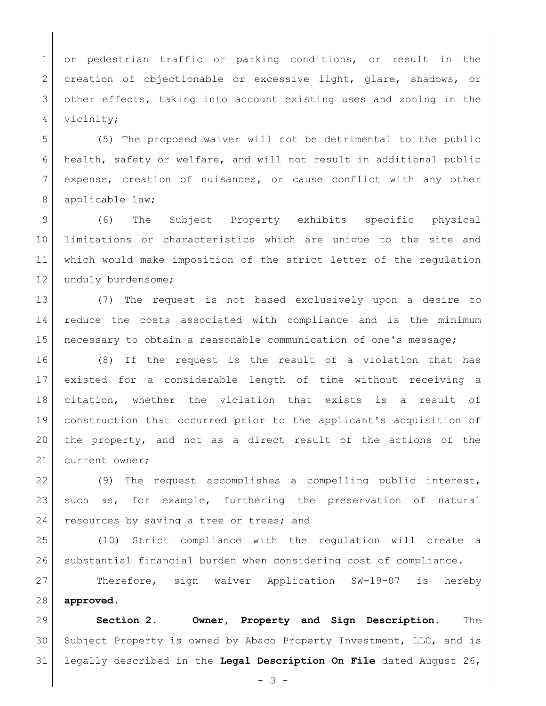1 or pedestrian traffic or parking conditions, or result in the 2 creation of objectionable or excessive light, glare, shadows, or 3 other effects, taking into account existing uses and zoning in the 4 vicinity;

 (5) The proposed waiver will not be detrimental to the public health, safety or welfare, and will not result in additional public expense, creation of nuisances, or cause conflict with any other 8 applicable law;

 (6) The Subject Property exhibits specific physical limitations or characteristics which are unique to the site and which would make imposition of the strict letter of the regulation 12 unduly burdensome;

 (7) The request is not based exclusively upon a desire to reduce the costs associated with compliance and is the minimum necessary to obtain a reasonable communication of one's message;

 (8) If the request is the result of a violation that has existed for a considerable length of time without receiving a citation, whether the violation that exists is a result of construction that occurred prior to the applicant's acquisition of the property, and not as a direct result of the actions of the 21 current owner;

22 (9) The request accomplishes a compelling public interest, such as, for example, furthering the preservation of natural 24 resources by saving a tree or trees; and

 (10) Strict compliance with the regulation will create a substantial financial burden when considering cost of compliance.

 Therefore, sign waiver Application SW-19-07 is hereby **approved**.

 **Section 2. Owner, Property and Sign Description.** The Subject Property is owned by Abaco Property Investment, LLC, and is legally described in the **Legal Description On File** dated August 26,

 $- 3 -$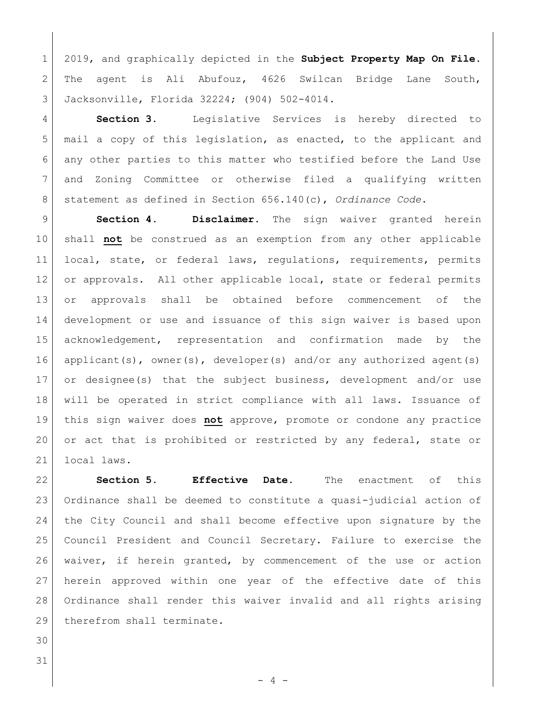2019, and graphically depicted in the **Subject Property Map On File**. The agent is Ali Abufouz, 4626 Swilcan Bridge Lane South, Jacksonville, Florida 32224; (904) 502-4014.

 **Section 3.** Legislative Services is hereby directed to mail a copy of this legislation, as enacted, to the applicant and 6 any other parties to this matter who testified before the Land Use and Zoning Committee or otherwise filed a qualifying written statement as defined in Section 656.140(c), *Ordinance Code*.

 **Section 4. Disclaimer.** The sign waiver granted herein shall **not** be construed as an exemption from any other applicable local, state, or federal laws, regulations, requirements, permits 12 or approvals. All other applicable local, state or federal permits or approvals shall be obtained before commencement of the development or use and issuance of this sign waiver is based upon acknowledgement, representation and confirmation made by the 16 applicant(s), owner(s), developer(s) and/or any authorized agent(s) or designee(s) that the subject business, development and/or use will be operated in strict compliance with all laws. Issuance of this sign waiver does **not** approve, promote or condone any practice 20 or act that is prohibited or restricted by any federal, state or local laws.

 **Section 5. Effective Date.** The enactment of this Ordinance shall be deemed to constitute a quasi-judicial action of the City Council and shall become effective upon signature by the Council President and Council Secretary. Failure to exercise the waiver, if herein granted, by commencement of the use or action herein approved within one year of the effective date of this Ordinance shall render this waiver invalid and all rights arising 29 therefrom shall terminate.

 

- 4 -